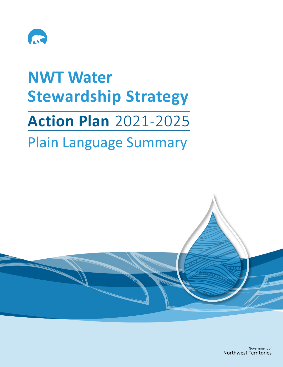

## **NWT Water Stewardship Strategy Action Plan** 2021-2025

## Plain Language Summary

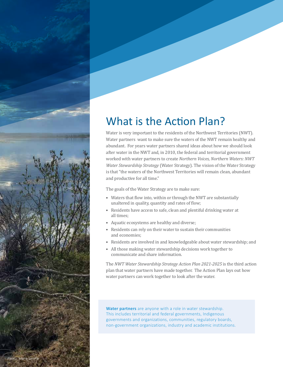

## What is the Action Plan?

Water is very important to the residents of the Northwest Territories (NWT). Water partners want to make sure the waters of the NWT remain healthy and abundant. For years water partners shared ideas about how we should look after water in the NWT and, in 2010, the federal and territorial government worked with water partners to create *Northern Voices, Northern Waters: NWT Water Stewardship Strategy* (Water Strategy). The vision of the Water Strategy is that "the waters of the Northwest Territories will remain clean, abundant and productive for all time."

The goals of the Water Strategy are to make sure:

- Waters that flow into, within or through the NWT are substantially unaltered in quality, quantity and rates of flow;
- Residents have access to safe, clean and plentiful drinking water at all times;
- Aquatic ecosystems are healthy and diverse;
- • Residents can rely on their water to sustain their communities and economies;
- • Residents are involved in and knowledgeable about water stewardship; and
- All those making water stewardship decisions work together to communicate and share information.

The *NWT Water Stewardship Strategy Action Plan 2021-2025* is the third action plan that water partners have made together. The Action Plan lays out how water partners can work together to look after the water.

**Water partners** are anyone with a role in water stewardship. This includes territorial and federal governments, Indigenous governments and organizations, communities, regulatory boards, non-government organizations, industry and academic institutions.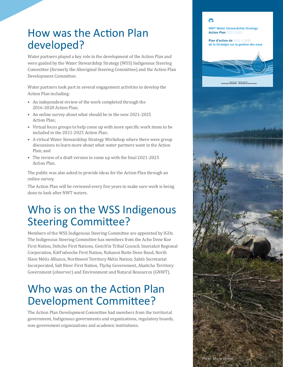### How was the Action Plan developed?

Water partners played a key role in the development of the Action Plan and were guided by the Water Stewardship Strategy (WSS) Indigenous Steering Committee (formerly the Aboriginal Steering Committee) and the Action Plan Development Committee.

Water partners took part in several engagement activities to develop the Action Plan including:

- • An independent review of the work completed through the 2016-2020 Action Plan;
- An online survey about what should be in the new 2021-2025 Action Plan;
- Virtual focus groups to help come up with more specific work items to be included in the 2021-2025 Action Plan;
- A virtual Water Stewardship Strategy Workshop where there were group discussions to learn more about what water partners want in the Action Plan; and
- The review of a draft version to come up with the final 2021-2025 Action Plan.

The public was also asked to provide ideas for the Action Plan through an online survey.

The Action Plan will be reviewed every five years to make sure work is being done to look after NWT waters.

### Who is on the WSS Indigenous Steering Committee?

Members of the WSS Indigenous Steering Committee are appointed by IGOs. The Indigenous Steering Committee has members from the Acho Dene Koe First Nation, Dehcho First Nations, Gwich'in Tribal Council, Inuvialuit Regional Corporation, Kátł'odeeche First Nation, Nahanni Butte Dene Band, North Slave Métis Alliance, Northwest Territory Métis Nation, Sahtù Secretariat Incorporated, Salt River First Nation, Tłįcho Government, Akaitcho Territory Government (observer) and Environment and Natural Resources (GNWT).

### Who was on the Action Plan Development Committee?

The Action Plan Development Committee had members from the territorial government, Indigenous governments and organizations, regulatory boards, non-government organizations and academic institutions.

# $\Omega$ **NWT Water Stewardship Strategy Action Plan** 2021-2025 **Plan d'action de** 2021 à 2025 **de la Stratégie sur la gestion des eaux**Government of Gouvernement des<br>Le Territories Territoires du No Photo: Marie Lennie